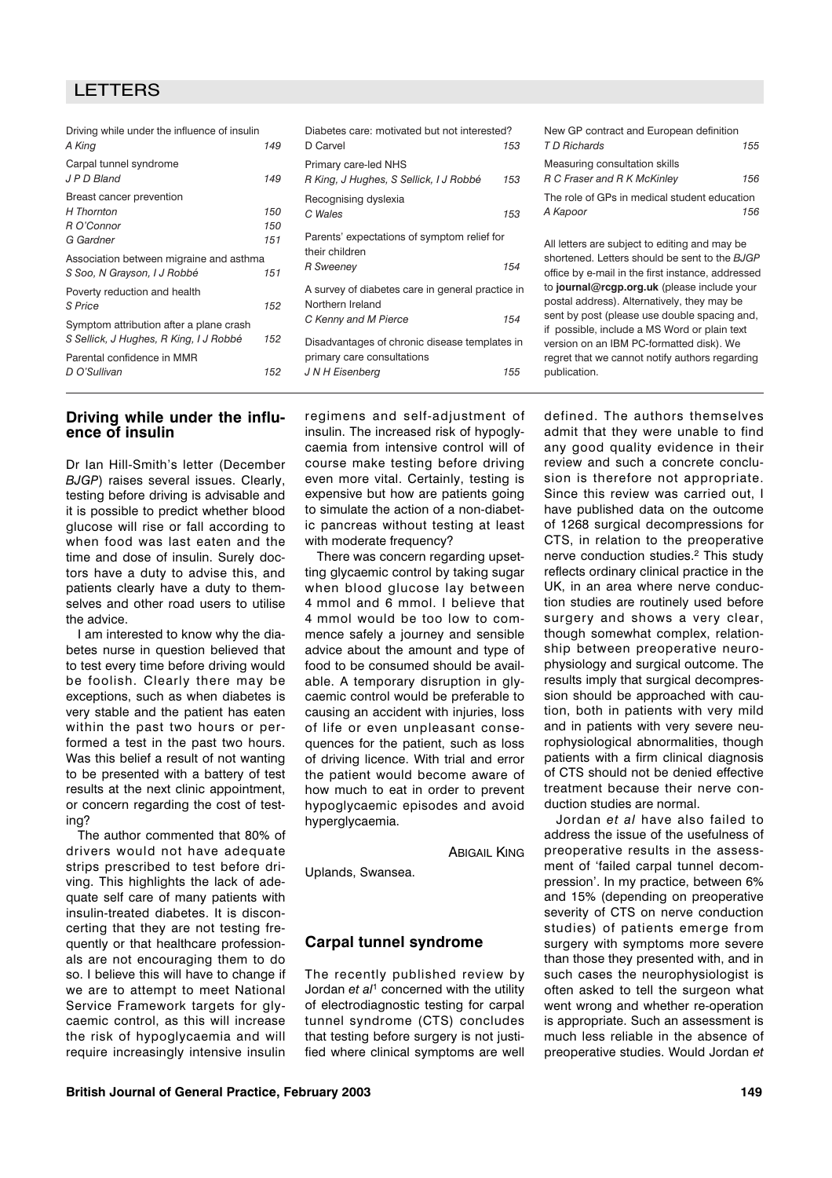# LETTERS

| Driving while under the influence of insulin |     |            |  |
|----------------------------------------------|-----|------------|--|
| A King                                       | 149 | D (        |  |
| Carpal tunnel syndrome                       |     | Pri        |  |
| J P D Bland                                  | 149 | R k        |  |
| Breast cancer prevention                     |     | Re         |  |
| H Thornton                                   | 150 | Cν         |  |
| R O'Connor                                   | 150 |            |  |
| G Gardner                                    | 151 | Par<br>the |  |
| Association between migraine and asthma      |     |            |  |
| S Soo, N Grayson, I J Robbé                  | 151 | R S        |  |
| Poverty reduction and health                 |     | A s        |  |
| S Price                                      | 152 | No         |  |
| Symptom attribution after a plane crash      |     | Сk         |  |
| S Sellick, J Hughes, R King, I J Robbé       | 152 | Dis        |  |
| Parental confidence in MMR                   |     | prir       |  |
| D O'Sullivan                                 | 152 | J N        |  |
|                                              |     |            |  |

# abetes care: motivated but not interested? D Carvel *153* Primary care-led NHS *R King, J Hughes, S Sellick, I J Robbé 153* cognising dyslexia *C Wales 153* rents' expectations of symptom relief for eir children *R Sweeney 154* survey of diabetes care in general practice in Northern Ireland *C Kenny and M Pierce 154* advantages of chronic disease templates in mary care consultations *J N H Eisenberg 155*

| New GP contract and European definition      |     |
|----------------------------------------------|-----|
| T D Richards                                 | 155 |
| Measuring consultation skills                |     |
| R C Fraser and R K McKinley                  | 156 |
| The role of GPs in medical student education |     |
| A Kapoor                                     | 156 |
|                                              |     |

All letters are subject to editing and may be shortened. Letters should be sent to the *BJGP* office by e-mail in the first instance, addressed to **journal@rcgp.org.uk** (please include your postal address). Alternatively, they may be sent by post (please use double spacing and, if possible, include a MS Word or plain text version on an IBM PC-formatted disk). We regret that we cannot notify authors regarding publication.

## **Driving while under the influence of insulin**

Dr Ian Hill-Smith's letter (December *BJGP*) raises several issues. Clearly, testing before driving is advisable and it is possible to predict whether blood glucose will rise or fall according to when food was last eaten and the time and dose of insulin. Surely doctors have a duty to advise this, and patients clearly have a duty to themselves and other road users to utilise the advice.

I am interested to know why the diabetes nurse in question believed that to test every time before driving would be foolish. Clearly there may be exceptions, such as when diabetes is very stable and the patient has eaten within the past two hours or performed a test in the past two hours. Was this belief a result of not wanting to be presented with a battery of test results at the next clinic appointment, or concern regarding the cost of testing?

The author commented that 80% of drivers would not have adequate strips prescribed to test before driving. This highlights the lack of adequate self care of many patients with insulin-treated diabetes. It is disconcerting that they are not testing frequently or that healthcare professionals are not encouraging them to do so. I believe this will have to change if we are to attempt to meet National Service Framework targets for glycaemic control, as this will increase the risk of hypoglycaemia and will require increasingly intensive insulin

regimens and self-adjustment of insulin. The increased risk of hypoglycaemia from intensive control will of course make testing before driving even more vital. Certainly, testing is expensive but how are patients going to simulate the action of a non-diabetic pancreas without testing at least with moderate frequency?

There was concern regarding upsetting glycaemic control by taking sugar when blood glucose lay between 4 mmol and 6 mmol. I believe that 4 mmol would be too low to commence safely a journey and sensible advice about the amount and type of food to be consumed should be available. A temporary disruption in glycaemic control would be preferable to causing an accident with injuries, loss of life or even unpleasant consequences for the patient, such as loss of driving licence. With trial and error the patient would become aware of how much to eat in order to prevent hypoglycaemic episodes and avoid hyperglycaemia.

**ABIGAIL KING** 

Uplands, Swansea.

## **Carpal tunnel syndrome**

The recently published review by Jordan *et al*<sup>1</sup> concerned with the utility of electrodiagnostic testing for carpal tunnel syndrome (CTS) concludes that testing before surgery is not justified where clinical symptoms are well defined. The authors themselves admit that they were unable to find any good quality evidence in their review and such a concrete conclusion is therefore not appropriate. Since this review was carried out, I have published data on the outcome of 1268 surgical decompressions for CTS, in relation to the preoperative nerve conduction studies.<sup>2</sup> This study reflects ordinary clinical practice in the UK, in an area where nerve conduction studies are routinely used before surgery and shows a very clear, though somewhat complex, relationship between preoperative neurophysiology and surgical outcome. The results imply that surgical decompression should be approached with caution, both in patients with very mild and in patients with very severe neurophysiological abnormalities, though patients with a firm clinical diagnosis of CTS should not be denied effective treatment because their nerve conduction studies are normal.

Jordan *et al* have also failed to address the issue of the usefulness of preoperative results in the assessment of 'failed carpal tunnel decompression'. In my practice, between 6% and 15% (depending on preoperative severity of CTS on nerve conduction studies) of patients emerge from surgery with symptoms more severe than those they presented with, and in such cases the neurophysiologist is often asked to tell the surgeon what went wrong and whether re-operation is appropriate. Such an assessment is much less reliable in the absence of preoperative studies. Would Jordan *et*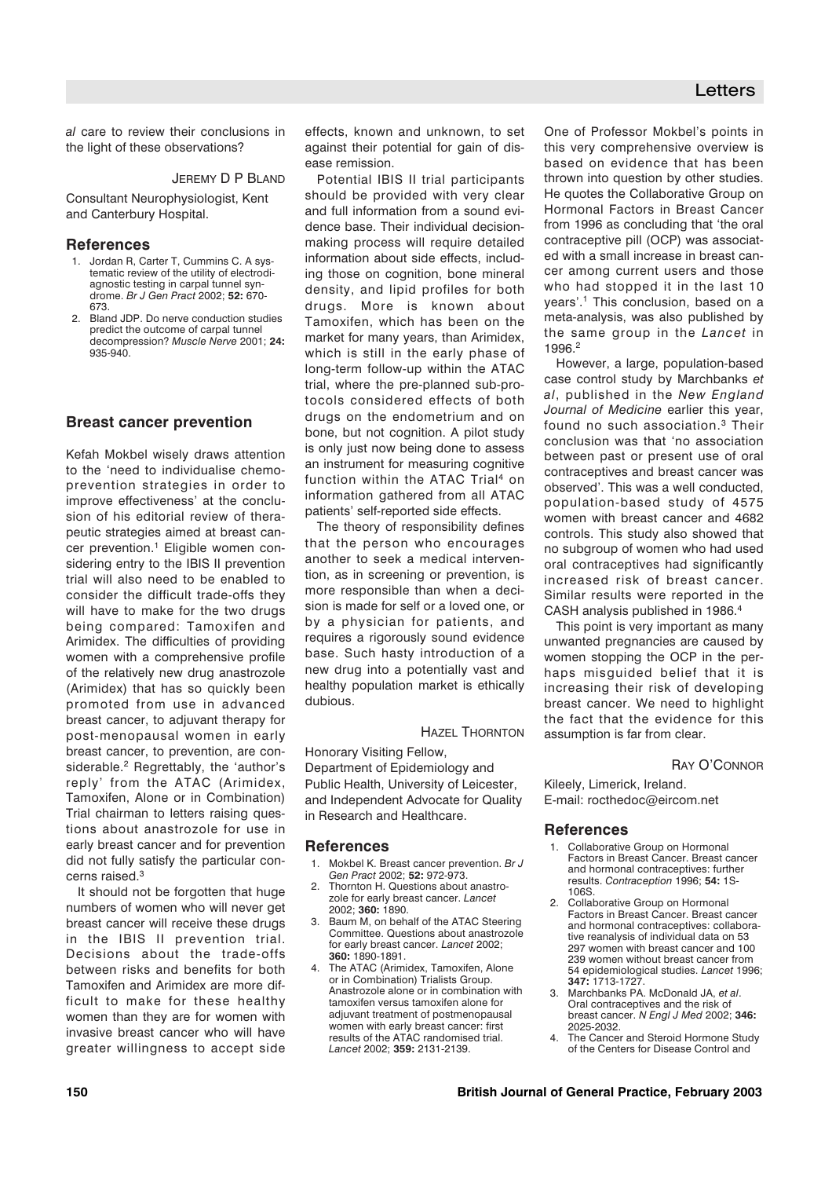*al* care to review their conclusions in the light of these observations?

## JEREMY D P BLAND

Consultant Neurophysiologist, Kent and Canterbury Hospital.

#### **References**

- 1. Jordan R, Carter T, Cummins C. A systematic review of the utility of electrodiagnostic testing in carpal tunnel syndrome. *Br J Gen Pract* 2002; **52:** 670- 673.
- 2. Bland JDP. Do nerve conduction studies predict the outcome of carpal tunnel decompression? *Muscle Nerve* 2001; **24:** 935-940.

## **Breast cancer prevention**

Kefah Mokbel wisely draws attention to the 'need to individualise chemoprevention strategies in order to improve effectiveness' at the conclusion of his editorial review of therapeutic strategies aimed at breast cancer prevention.<sup>1</sup> Eligible women considering entry to the IBIS II prevention trial will also need to be enabled to consider the difficult trade-offs they will have to make for the two drugs being compared: Tamoxifen and Arimidex. The difficulties of providing women with a comprehensive profile of the relatively new drug anastrozole (Arimidex) that has so quickly been promoted from use in advanced breast cancer, to adjuvant therapy for post-menopausal women in early breast cancer, to prevention, are considerable.<sup>2</sup> Regrettably, the 'author's reply' from the ATAC (Arimidex, Tamoxifen, Alone or in Combination) Trial chairman to letters raising questions about anastrozole for use in early breast cancer and for prevention did not fully satisfy the particular concerns raised.3

It should not be forgotten that huge numbers of women who will never get breast cancer will receive these drugs in the IBIS II prevention trial. Decisions about the trade-offs between risks and benefits for both Tamoxifen and Arimidex are more difficult to make for these healthy women than they are for women with invasive breast cancer who will have greater willingness to accept side

effects, known and unknown, to set against their potential for gain of disease remission.

Potential IBIS II trial participants should be provided with very clear and full information from a sound evidence base. Their individual decisionmaking process will require detailed information about side effects, including those on cognition, bone mineral density, and lipid profiles for both drugs. More is known about Tamoxifen, which has been on the market for many years, than Arimidex, which is still in the early phase of long-term follow-up within the ATAC trial, where the pre-planned sub-protocols considered effects of both drugs on the endometrium and on bone, but not cognition. A pilot study is only just now being done to assess an instrument for measuring cognitive function within the ATAC Trial<sup>4</sup> on information gathered from all ATAC patients' self-reported side effects.

The theory of responsibility defines that the person who encourages another to seek a medical intervention, as in screening or prevention, is more responsible than when a decision is made for self or a loved one, or by a physician for patients, and requires a rigorously sound evidence base. Such hasty introduction of a new drug into a potentially vast and healthy population market is ethically dubious.

## HAZEL THORNTON

Honorary Visiting Fellow,

Department of Epidemiology and Public Health, University of Leicester, and Independent Advocate for Quality in Research and Healthcare.

### **References**

- 1. Mokbel K. Breast cancer prevention. *Br J Gen Pract* 2002; **52:** 972-973.
- Thornton H. Questions about anastrozole for early breast cancer. *Lancet* 2002; **360:** 1890.
- 3. Baum M, on behalf of the ATAC Steering Committee. Questions about anastrozole for early breast cancer. *Lancet* 2002; **360:** 1890-1891.
- 4. The ATAC (Arimidex, Tamoxifen, Alone or in Combination) Trialists Group. Anastrozole alone or in combination with tamoxifen versus tamoxifen alone for adjuvant treatment of postmenopausal women with early breast cancer: first results of the ATAC randomised trial. *Lancet* 2002; **359:** 2131-2139.

One of Professor Mokbel's points in this very comprehensive overview is based on evidence that has been thrown into question by other studies. He quotes the Collaborative Group on Hormonal Factors in Breast Cancer from 1996 as concluding that 'the oral contraceptive pill (OCP) was associated with a small increase in breast cancer among current users and those who had stopped it in the last 10 years'.1 This conclusion, based on a meta-analysis, was also published by the same group in the *Lancet* in 1996.2

However, a large, population-based case control study by Marchbanks *et al*, published in the *New England Journal of Medicine* earlier this year, found no such association.<sup>3</sup> Their conclusion was that 'no association between past or present use of oral contraceptives and breast cancer was observed'. This was a well conducted, population-based study of 4575 women with breast cancer and 4682 controls. This study also showed that no subgroup of women who had used oral contraceptives had significantly increased risk of breast cancer. Similar results were reported in the CASH analysis published in 1986.4

This point is very important as many unwanted pregnancies are caused by women stopping the OCP in the perhaps misguided belief that it is increasing their risk of developing breast cancer. We need to highlight the fact that the evidence for this assumption is far from clear.

### RAY O'CONNOR

Kileely, Limerick, Ireland. E-mail: rocthedoc@eircom.net

#### **References**

- Collaborative Group on Hormonal Factors in Breast Cancer. Breast cancer and hormonal contraceptives: further results. *Contraception* 1996; **54:** 1S-106S.
- 2. Collaborative Group on Hormonal Factors in Breast Cancer. Breast cancer and hormonal contraceptives: collaborative reanalysis of individual data on 53 297 women with breast cancer and 100 239 women without breast cancer from 54 epidemiological studies. *Lancet* 1996; **347:** 1713-1727.
- 3. Marchbanks PA. McDonald JA, *et al*. Oral contraceptives and the risk of breast cancer. *N Engl J Med* 2002; **346:** 2025-2032.
- 4. The Cancer and Steroid Hormone Study of the Centers for Disease Control and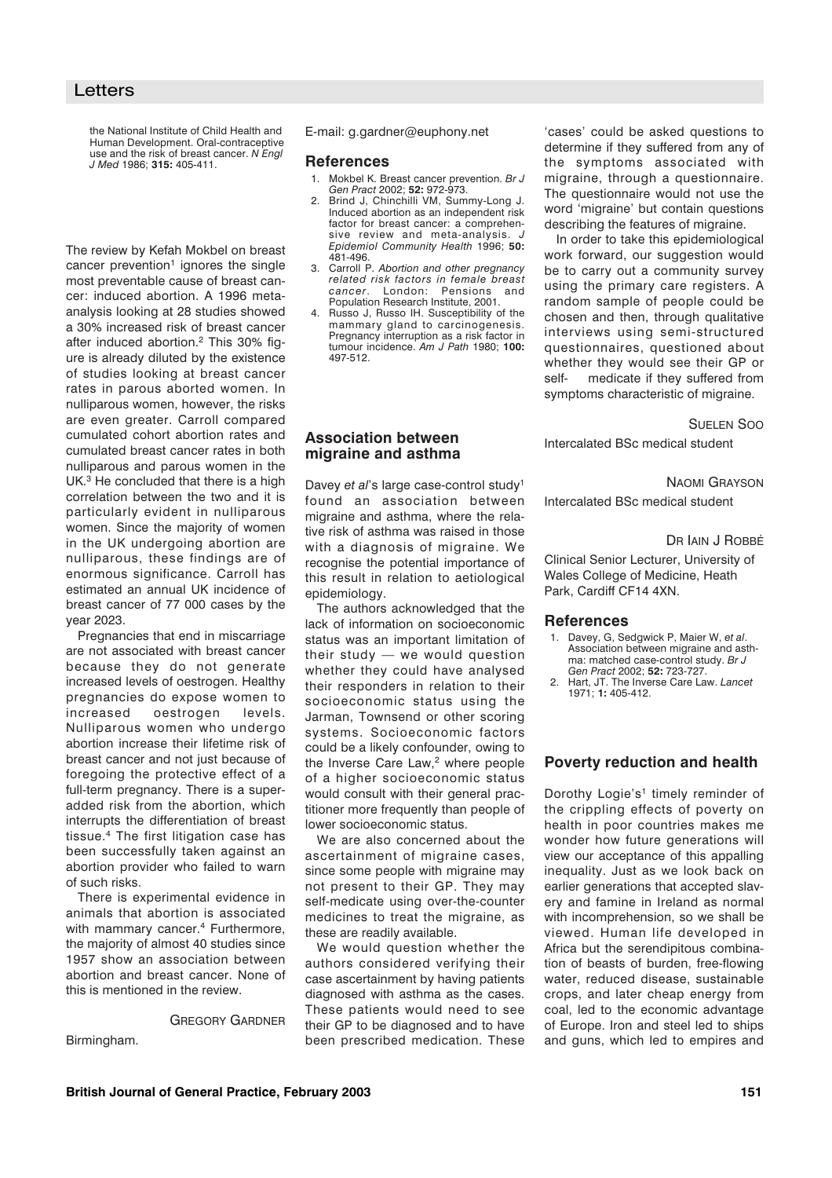the National Institute of Child Health and Human Development. Oral-contraceptive use and the risk of breast cancer. *N Engl J Med* 1986; **315:** 405-411.

The review by Kefah Mokbel on breast cancer prevention<sup>1</sup> ignores the single most preventable cause of breast cancer: induced abortion. A 1996 metaanalysis looking at 28 studies showed a 30% increased risk of breast cancer after induced abortion.2 This 30% figure is already diluted by the existence of studies looking at breast cancer rates in parous aborted women. In nulliparous women, however, the risks are even greater. Carroll compared cumulated cohort abortion rates and cumulated breast cancer rates in both nulliparous and parous women in the UK.<sup>3</sup> He concluded that there is a high correlation between the two and it is particularly evident in nulliparous women. Since the majority of women in the UK undergoing abortion are nulliparous, these findings are of enormous significance. Carroll has estimated an annual UK incidence of breast cancer of 77 000 cases by the year 2023.

Pregnancies that end in miscarriage are not associated with breast cancer because they do not generate increased levels of oestrogen. Healthy pregnancies do expose women to increased oestrogen levels. Nulliparous women who undergo abortion increase their lifetime risk of breast cancer and not just because of foregoing the protective effect of a full-term pregnancy. There is a superadded risk from the abortion, which interrupts the differentiation of breast tissue.4 The first litigation case has been successfully taken against an abortion provider who failed to warn of such risks.

There is experimental evidence in animals that abortion is associated with mammary cancer.<sup>4</sup> Furthermore, the majority of almost 40 studies since 1957 show an association between abortion and breast cancer. None of this is mentioned in the review.

GREGORY GARDNER

Birmingham.

E-mail: g.gardner@euphony.net

#### **References**

- 1. Mokbel K. Breast cancer prevention. *Br J Gen Pract* 2002; **52:** 972-973.
- 2. Brind J, Chinchilli VM, Summy-Long J. Induced abortion as an independent risk factor for breast cancer: a comprehensive review and meta-analysis. *J Epidemiol Community Health* 1996; **50:** 481-496.
- 3. Carroll P. *Abortion and other pregnancy related risk factors in female breast cancer*. London: Pensions and Population Research Institute, 2001.
- Russo J, Russo IH. Susceptibility of the mammary gland to carcinogenesis. Pregnancy interruption as a risk factor in tumour incidence. *Am J Path* 1980; **100:** 497-512.

## **Association between migraine and asthma**

Davey *et al*'s large case-control study1 found an association between migraine and asthma, where the relative risk of asthma was raised in those with a diagnosis of migraine. We recognise the potential importance of this result in relation to aetiological epidemiology.

The authors acknowledged that the lack of information on socioeconomic status was an important limitation of their study — we would question whether they could have analysed their responders in relation to their socioeconomic status using the Jarman, Townsend or other scoring systems. Socioeconomic factors could be a likely confounder, owing to the Inverse Care Law,<sup>2</sup> where people of a higher socioeconomic status would consult with their general practitioner more frequently than people of lower socioeconomic status.

We are also concerned about the ascertainment of migraine cases, since some people with migraine may not present to their GP. They may self-medicate using over-the-counter medicines to treat the migraine, as these are readily available.

We would question whether the authors considered verifying their case ascertainment by having patients diagnosed with asthma as the cases. These patients would need to see their GP to be diagnosed and to have been prescribed medication. These 'cases' could be asked questions to determine if they suffered from any of the symptoms associated with migraine, through a questionnaire. The questionnaire would not use the word 'migraine' but contain questions describing the features of migraine.

In order to take this epidemiological work forward, our suggestion would be to carry out a community survey using the primary care registers. A random sample of people could be chosen and then, through qualitative interviews using semi-structured questionnaires, questioned about whether they would see their GP or self- medicate if they suffered from symptoms characteristic of migraine.

#### SUELEN SOO

Intercalated BSc medical student

## NAOMI GRAYSON

Intercalated BSc medical student

### DR IAIN J ROBBÉ

Clinical Senior Lecturer, University of Wales College of Medicine, Heath Park, Cardiff CF14 4XN.

#### **References**

- 1. Davey, G, Sedgwick P, Maier W, *et al*. Association between migraine and asthma: matched case-control study. *Br J Gen Pract* 2002; **52:** 723-727.
- 2. Hart, JT. The Inverse Care Law. *Lancet* 1971; **1:** 405-412.

## **Poverty reduction and health**

Dorothy Logie's<sup>1</sup> timely reminder of the crippling effects of poverty on health in poor countries makes me wonder how future generations will view our acceptance of this appalling inequality. Just as we look back on earlier generations that accepted slavery and famine in Ireland as normal with incomprehension, so we shall be viewed. Human life developed in Africa but the serendipitous combination of beasts of burden, free-flowing water, reduced disease, sustainable crops, and later cheap energy from coal, led to the economic advantage of Europe. Iron and steel led to ships and guns, which led to empires and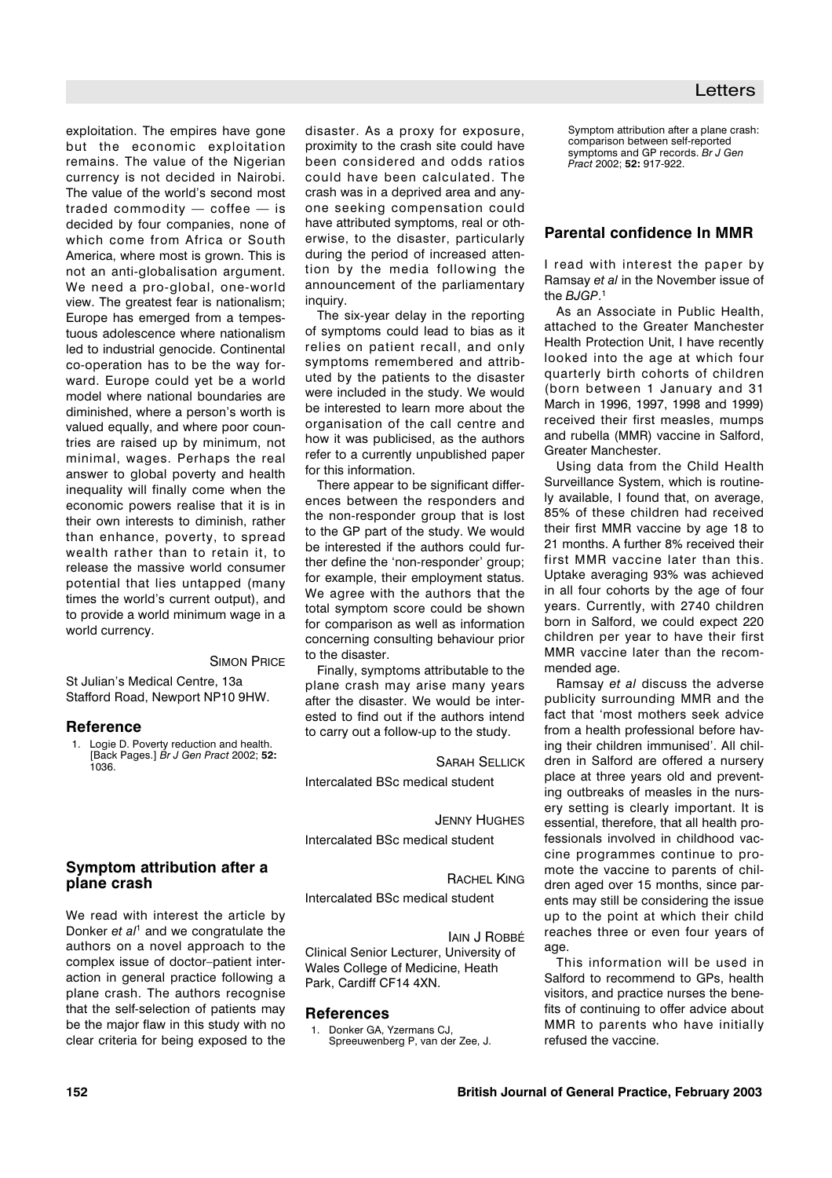exploitation. The empires have gone but the economic exploitation remains. The value of the Nigerian currency is not decided in Nairobi. The value of the world's second most traded commodity — coffee — is decided by four companies, none of which come from Africa or South America, where most is grown. This is not an anti-globalisation argument. We need a pro-global, one-world view. The greatest fear is nationalism; Europe has emerged from a tempestuous adolescence where nationalism led to industrial genocide. Continental co-operation has to be the way forward. Europe could yet be a world model where national boundaries are diminished, where a person's worth is valued equally, and where poor countries are raised up by minimum, not minimal, wages. Perhaps the real answer to global poverty and health inequality will finally come when the economic powers realise that it is in their own interests to diminish, rather than enhance, poverty, to spread wealth rather than to retain it, to release the massive world consumer potential that lies untapped (many times the world's current output), and to provide a world minimum wage in a world currency.

SIMON PRICE

St Julian's Medical Centre, 13a Stafford Road, Newport NP10 9HW.

### **Reference**

1. Logie D. Poverty reduction and health. [Back Pages.] *Br J Gen Pract* 2002; **52:** 1036.

## **Symptom attribution after a plane crash**

We read with interest the article by Donker *et al*<sup>1</sup> and we congratulate the authors on a novel approach to the complex issue of doctor–patient interaction in general practice following a plane crash. The authors recognise that the self-selection of patients may be the major flaw in this study with no clear criteria for being exposed to the

disaster. As a proxy for exposure, proximity to the crash site could have been considered and odds ratios could have been calculated. The crash was in a deprived area and anyone seeking compensation could have attributed symptoms, real or otherwise, to the disaster, particularly during the period of increased attention by the media following the announcement of the parliamentary inquiry.

The six-year delay in the reporting of symptoms could lead to bias as it relies on patient recall, and only symptoms remembered and attributed by the patients to the disaster were included in the study. We would be interested to learn more about the organisation of the call centre and how it was publicised, as the authors refer to a currently unpublished paper for this information.

There appear to be significant differences between the responders and the non-responder group that is lost to the GP part of the study. We would be interested if the authors could further define the 'non-responder' group; for example, their employment status. We agree with the authors that the total symptom score could be shown for comparison as well as information concerning consulting behaviour prior to the disaster.

Finally, symptoms attributable to the plane crash may arise many years after the disaster. We would be interested to find out if the authors intend to carry out a follow-up to the study.

SARAH SELLICK

Intercalated BSc medical student

JENNY HUGHES

Intercalated BSc medical student

RACHEL KING

Intercalated BSc medical student

IAIN J ROBBÉ Clinical Senior Lecturer, University of Wales College of Medicine, Heath Park, Cardiff CF14 4XN.

## **References**

Donker GA, Yzermans CJ, Spreeuwenberg P, van der Zee, J.

Symptom attribution after a plane crash: comparison between self-reported symptoms and GP records. *Br J Gen Pract* 2002; **52:** 917-922.

## **Parental confidence In MMR**

I read with interest the paper by Ramsay *et al* in the November issue of the *BJGP*. 1

As an Associate in Public Health, attached to the Greater Manchester Health Protection Unit, I have recently looked into the age at which four quarterly birth cohorts of children (born between 1 January and 31 March in 1996, 1997, 1998 and 1999) received their first measles, mumps and rubella (MMR) vaccine in Salford, Greater Manchester.

Using data from the Child Health Surveillance System, which is routinely available, I found that, on average, 85% of these children had received their first MMR vaccine by age 18 to 21 months. A further 8% received their first MMR vaccine later than this. Uptake averaging 93% was achieved in all four cohorts by the age of four years. Currently, with 2740 children born in Salford, we could expect 220 children per year to have their first MMR vaccine later than the recommended age.

Ramsay *et al* discuss the adverse publicity surrounding MMR and the fact that 'most mothers seek advice from a health professional before having their children immunised'. All children in Salford are offered a nursery place at three years old and preventing outbreaks of measles in the nursery setting is clearly important. It is essential, therefore, that all health professionals involved in childhood vaccine programmes continue to promote the vaccine to parents of children aged over 15 months, since parents may still be considering the issue up to the point at which their child reaches three or even four years of age

This information will be used in Salford to recommend to GPs, health visitors, and practice nurses the benefits of continuing to offer advice about MMR to parents who have initially refused the vaccine.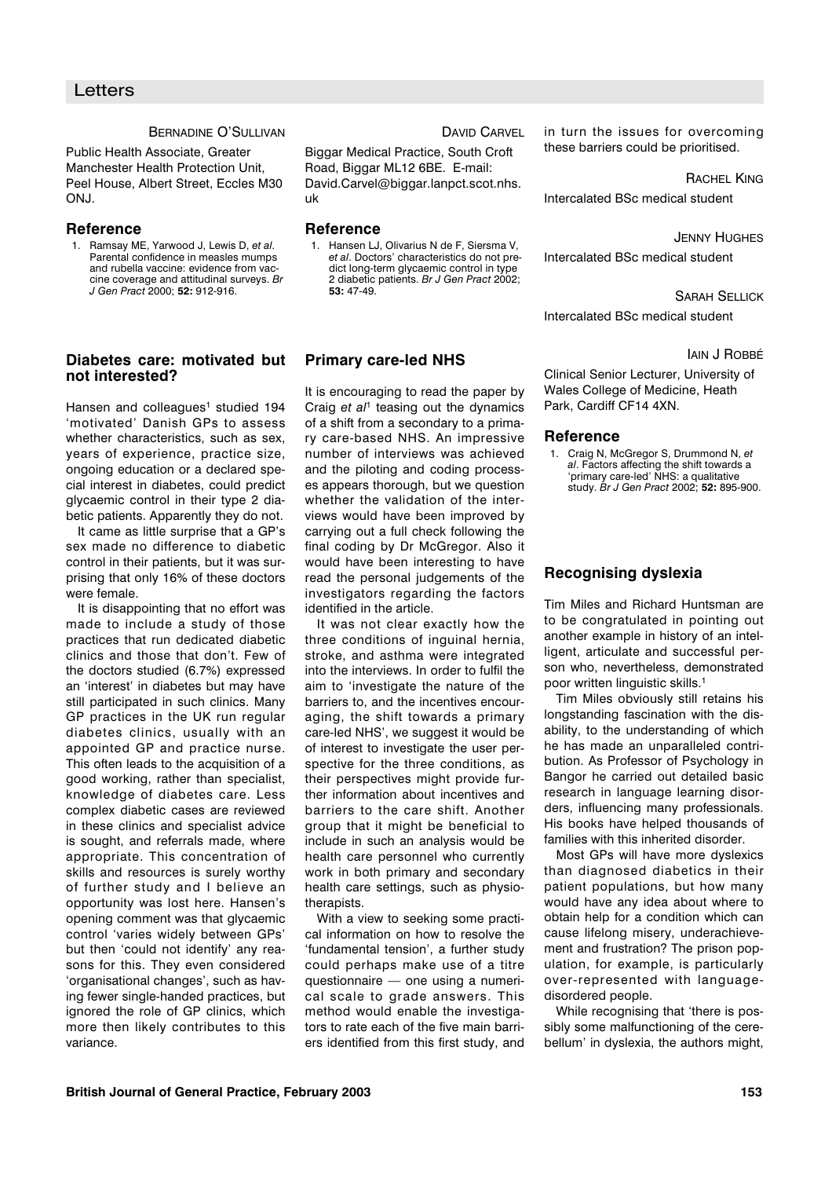#### BERNADINE O'SULLIVAN

Public Health Associate, Greater Manchester Health Protection Unit, Peel House, Albert Street, Eccles M30 ONJ.

## **Reference**

1. Ramsay ME, Yarwood J, Lewis D, *et al*. Parental confidence in measles mumps and rubella vaccine: evidence from vaccine coverage and attitudinal surveys. *Br J Gen Pract* 2000; **52:** 912-916.

## **Diabetes care: motivated but not interested?**

Hansen and colleagues<sup>1</sup> studied 194 'motivated' Danish GPs to assess whether characteristics, such as sex, years of experience, practice size, ongoing education or a declared special interest in diabetes, could predict glycaemic control in their type 2 diabetic patients. Apparently they do not.

It came as little surprise that a GP's sex made no difference to diabetic control in their patients, but it was surprising that only 16% of these doctors were female.

It is disappointing that no effort was made to include a study of those practices that run dedicated diabetic clinics and those that don't. Few of the doctors studied (6.7%) expressed an 'interest' in diabetes but may have still participated in such clinics. Many GP practices in the UK run regular diabetes clinics, usually with an appointed GP and practice nurse. This often leads to the acquisition of a good working, rather than specialist, knowledge of diabetes care. Less complex diabetic cases are reviewed in these clinics and specialist advice is sought, and referrals made, where appropriate. This concentration of skills and resources is surely worthy of further study and I believe an opportunity was lost here. Hansen's opening comment was that glycaemic control 'varies widely between GPs' but then 'could not identify' any reasons for this. They even considered 'organisational changes', such as having fewer single-handed practices, but ignored the role of GP clinics, which more then likely contributes to this variance.

DAVID CARVEL

Biggar Medical Practice, South Croft Road, Biggar ML12 6BE. E-mail: David.Carvel@biggar.lanpct.scot.nhs. uk

### **Reference**

1. Hansen LJ, Olivarius N de F, Siersma V, *et al*. Doctors' characteristics do not predict long-term glycaemic control in type 2 diabetic patients. *Br J Gen Pract* 2002; **53:** 47-49.

## **Primary care-led NHS**

It is encouraging to read the paper by Craig *et al*<sup>1</sup> teasing out the dynamics of a shift from a secondary to a primary care-based NHS. An impressive number of interviews was achieved and the piloting and coding processes appears thorough, but we question whether the validation of the interviews would have been improved by carrying out a full check following the final coding by Dr McGregor. Also it would have been interesting to have read the personal judgements of the investigators regarding the factors identified in the article.

It was not clear exactly how the three conditions of inguinal hernia, stroke, and asthma were integrated into the interviews. In order to fulfil the aim to 'investigate the nature of the barriers to, and the incentives encouraging, the shift towards a primary care-led NHS', we suggest it would be of interest to investigate the user perspective for the three conditions, as their perspectives might provide further information about incentives and barriers to the care shift. Another group that it might be beneficial to include in such an analysis would be health care personnel who currently work in both primary and secondary health care settings, such as physiotherapists

With a view to seeking some practical information on how to resolve the 'fundamental tension', a further study could perhaps make use of a titre questionnaire — one using a numerical scale to grade answers. This method would enable the investigators to rate each of the five main barriers identified from this first study, and in turn the issues for overcoming these barriers could be prioritised.

RACHEL KING

Intercalated BSc medical student

#### JENNY HUGHES

Intercalated BSc medical student

SARAH SELLICK

Intercalated BSc medical student

#### IAIN J ROBBÉ

Clinical Senior Lecturer, University of Wales College of Medicine, Heath Park, Cardiff CF14 4XN.

### **Reference**

1. Craig N, McGregor S, Drummond N, *et al*. Factors affecting the shift towards a 'primary care-led' NHS: a qualitative study. *Br J Gen Pract* 2002; **52:** 895-900.

## **Recognising dyslexia**

Tim Miles and Richard Huntsman are to be congratulated in pointing out another example in history of an intelligent, articulate and successful person who, nevertheless, demonstrated poor written linguistic skills.<sup>1</sup>

Tim Miles obviously still retains his longstanding fascination with the disability, to the understanding of which he has made an unparalleled contribution. As Professor of Psychology in Bangor he carried out detailed basic research in language learning disorders, influencing many professionals. His books have helped thousands of families with this inherited disorder.

Most GPs will have more dyslexics than diagnosed diabetics in their patient populations, but how many would have any idea about where to obtain help for a condition which can cause lifelong misery, underachievement and frustration? The prison population, for example, is particularly over-represented with languagedisordered people.

While recognising that 'there is possibly some malfunctioning of the cerebellum' in dyslexia, the authors might,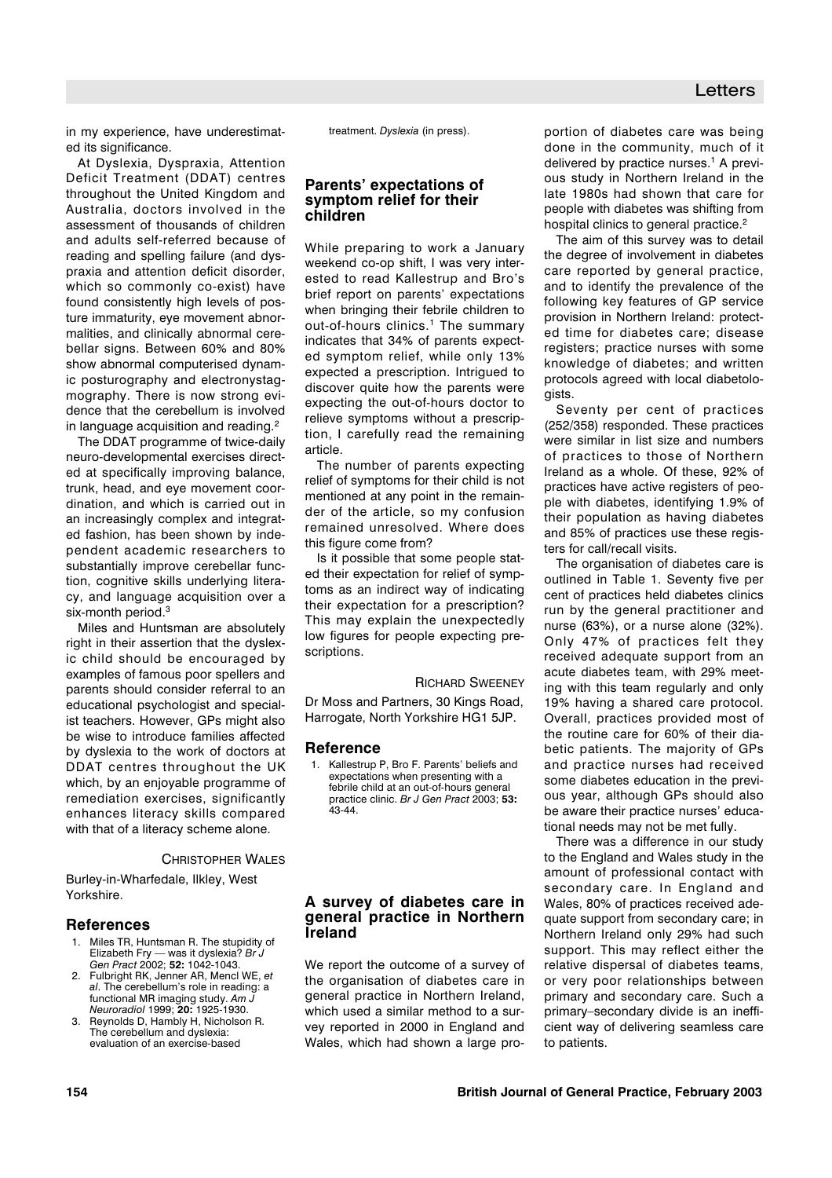in my experience, have underestimated its significance.

At Dyslexia, Dyspraxia, Attention Deficit Treatment (DDAT) centres throughout the United Kingdom and Australia, doctors involved in the assessment of thousands of children and adults self-referred because of reading and spelling failure (and dyspraxia and attention deficit disorder, which so commonly co-exist) have found consistently high levels of posture immaturity, eye movement abnormalities, and clinically abnormal cerebellar signs. Between 60% and 80% show abnormal computerised dynamic posturography and electronystagmography. There is now strong evidence that the cerebellum is involved in language acquisition and reading.<sup>2</sup>

The DDAT programme of twice-daily neuro-developmental exercises directed at specifically improving balance, trunk, head, and eye movement coordination, and which is carried out in an increasingly complex and integrated fashion, has been shown by independent academic researchers to substantially improve cerebellar function, cognitive skills underlying literacy, and language acquisition over a six-month period.<sup>3</sup>

Miles and Huntsman are absolutely right in their assertion that the dyslexic child should be encouraged by examples of famous poor spellers and parents should consider referral to an educational psychologist and specialist teachers. However, GPs might also be wise to introduce families affected by dyslexia to the work of doctors at DDAT centres throughout the UK which, by an enjoyable programme of remediation exercises, significantly enhances literacy skills compared with that of a literacy scheme alone.

#### CHRISTOPHER WALES

Burley-in-Wharfedale, Ilkley, West Yorkshire.

### **References**

- Miles TR, Huntsman R. The stupidity of Elizabeth Fry — was it dyslexia? *Br J Gen Pract* 2002; **52:** 1042-1043.
- 2. Fulbright RK, Jenner AR, Mencl WE, *et al*. The cerebellum's role in reading: a functional MR imaging study. *Am J Neuroradiol* 1999; **20:** 1925-1930.
- Reynolds D, Hambly H, Nicholson R. The cerebellum and dyslexia: evaluation of an exercise-based

treatment. *Dyslexia* (in press).

## **Parents' expectations of symptom relief for their children**

While preparing to work a January weekend co-op shift, I was very interested to read Kallestrup and Bro's brief report on parents' expectations when bringing their febrile children to out-of-hours clinics.<sup>1</sup> The summary indicates that 34% of parents expected symptom relief, while only 13% expected a prescription. Intrigued to discover quite how the parents were expecting the out-of-hours doctor to relieve symptoms without a prescription, I carefully read the remaining article.

The number of parents expecting relief of symptoms for their child is not mentioned at any point in the remainder of the article, so my confusion remained unresolved. Where does this figure come from?

Is it possible that some people stated their expectation for relief of symptoms as an indirect way of indicating their expectation for a prescription? This may explain the unexpectedly low figures for people expecting prescriptions.

#### RICHARD SWEENEY

Dr Moss and Partners, 30 Kings Road, Harrogate, North Yorkshire HG1 5JP.

### **Reference**

1. Kallestrup P, Bro F. Parents' beliefs and expectations when presenting with a febrile child at an out-of-hours general practice clinic. *Br J Gen Pract* 2003; **53:** 43-44.

## **A survey of diabetes care in general practice in Northern Ireland**

We report the outcome of a survey of the organisation of diabetes care in general practice in Northern Ireland, which used a similar method to a survey reported in 2000 in England and Wales, which had shown a large proportion of diabetes care was being done in the community, much of it delivered by practice nurses.<sup>1</sup> A previous study in Northern Ireland in the late 1980s had shown that care for people with diabetes was shifting from hospital clinics to general practice.<sup>2</sup>

The aim of this survey was to detail the degree of involvement in diabetes care reported by general practice, and to identify the prevalence of the following key features of GP service provision in Northern Ireland: protected time for diabetes care; disease registers; practice nurses with some knowledge of diabetes; and written protocols agreed with local diabetologists.

Seventy per cent of practices (252/358) responded. These practices were similar in list size and numbers of practices to those of Northern Ireland as a whole. Of these, 92% of practices have active registers of people with diabetes, identifying 1.9% of their population as having diabetes and 85% of practices use these registers for call/recall visits.

The organisation of diabetes care is outlined in Table 1. Seventy five per cent of practices held diabetes clinics run by the general practitioner and nurse (63%), or a nurse alone (32%). Only 47% of practices felt they received adequate support from an acute diabetes team, with 29% meeting with this team regularly and only 19% having a shared care protocol. Overall, practices provided most of the routine care for 60% of their diabetic patients. The majority of GPs and practice nurses had received some diabetes education in the previous year, although GPs should also be aware their practice nurses' educational needs may not be met fully.

There was a difference in our study to the England and Wales study in the amount of professional contact with secondary care. In England and Wales, 80% of practices received adequate support from secondary care; in Northern Ireland only 29% had such support. This may reflect either the relative dispersal of diabetes teams, or very poor relationships between primary and secondary care. Such a primary–secondary divide is an inefficient way of delivering seamless care to patients.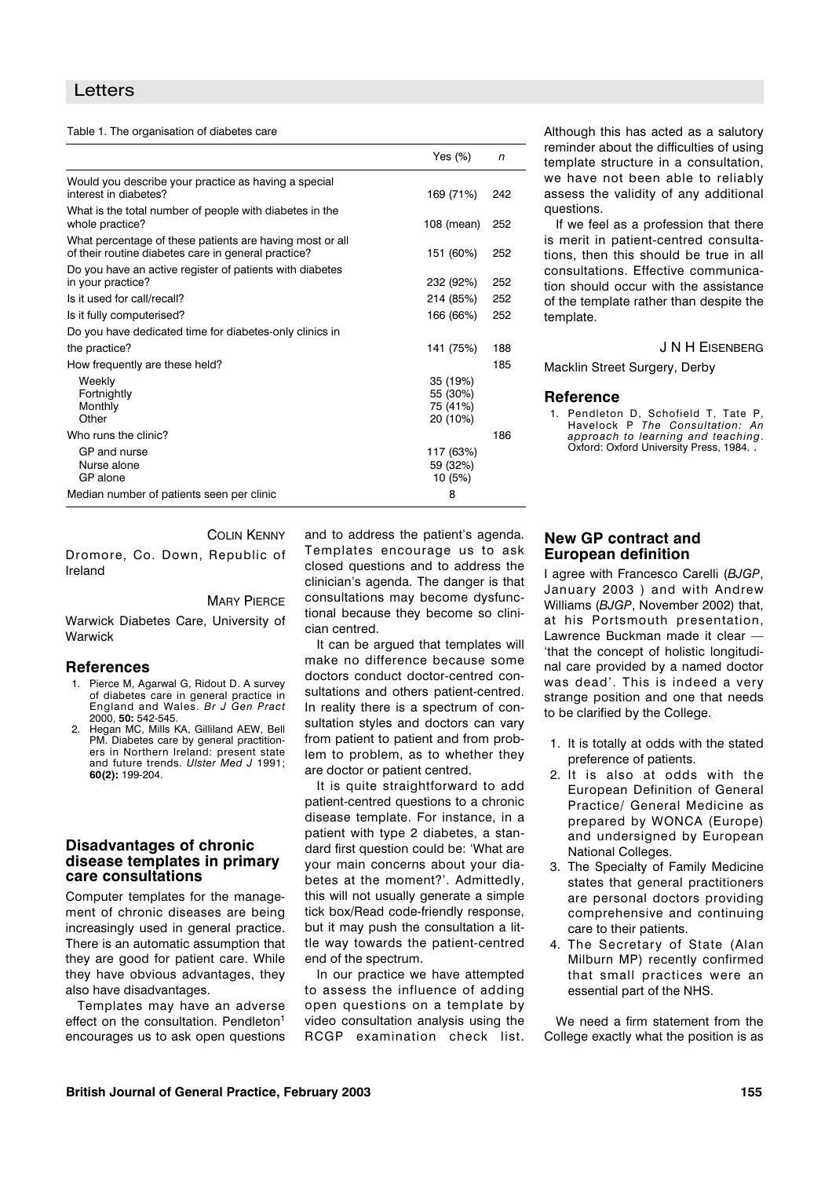| Table 1. The organisation of diabetes care |  |
|--------------------------------------------|--|
|                                            |  |

|                                                                                                                 | Yes $(\%)$                                   | n   |
|-----------------------------------------------------------------------------------------------------------------|----------------------------------------------|-----|
| Would you describe your practice as having a special<br>interest in diabetes?                                   | 169 (71%)                                    | 242 |
| What is the total number of people with diabetes in the<br>whole practice?                                      | 108 (mean)                                   | 252 |
| What percentage of these patients are having most or all<br>of their routine diabetes care in general practice? | 151 (60%)                                    | 252 |
| Do you have an active register of patients with diabetes<br>in your practice?                                   | 232 (92%)                                    | 252 |
| Is it used for call/recall?                                                                                     | 214 (85%)                                    | 252 |
| Is it fully computerised?                                                                                       | 166 (66%)                                    | 252 |
| Do you have dedicated time for diabetes-only clinics in                                                         |                                              |     |
| the practice?                                                                                                   | 141 (75%)                                    | 188 |
| How frequently are these held?                                                                                  |                                              | 185 |
| Weekly<br>Fortnightly<br>Monthly<br>Other                                                                       | 35 (19%)<br>55 (30%)<br>75 (41%)<br>20 (10%) |     |
| Who runs the clinic?                                                                                            |                                              | 186 |
| GP and nurse<br>Nurse alone<br>GP alone                                                                         | 117 (63%)<br>59 (32%)<br>10 (5%)             |     |
| Median number of patients seen per clinic                                                                       | 8                                            |     |

Although this has acted as a salutory reminder about the difficulties of using template structure in a consultation, we have not been able to reliably assess the validity of any additional questions.

If we feel as a profession that there is merit in patient-centred consultations, then this should be true in all consultations. Effective communication should occur with the assistance of the template rather than despite the template.

J N H EISENBERG

Macklin Street Surgery, Derby

#### **Reference**

1. Pendleton D, Schofield T, Tate P, Havelock P *The Consultation: An approach to learning and teaching*. Oxford: Oxford University Press, 1984. .

## COLIN KENNY

Dromore, Co. Down, Republic of Ireland

#### **MARY PIERCE**

Warwick Diabetes Care, University of Warwick

#### **References**

- 1. Pierce M, Agarwal G, Ridout D. A survey of diabetes care in general practice in England and Wales. *Br J Gen Pract* 2000, **50:** 542-545.
- Hegan MC, Mills KA, Gilliland AEW, Bell PM. Diabetes care by general practitioners in Northern Ireland: present state and future trends. *Ulster Med J* 1991; **60(2):** 199-204.

## **Disadvantages of chronic disease templates in primary care consultations**

Computer templates for the management of chronic diseases are being increasingly used in general practice. There is an automatic assumption that they are good for patient care. While they have obvious advantages, they also have disadvantages.

Templates may have an adverse effect on the consultation. Pendleton<sup>1</sup> encourages us to ask open questions and to address the patient's agenda. Templates encourage us to ask closed questions and to address the clinician's agenda. The danger is that consultations may become dysfunctional because they become so clinician centred.

It can be argued that templates will make no difference because some doctors conduct doctor-centred consultations and others patient-centred. In reality there is a spectrum of consultation styles and doctors can vary from patient to patient and from problem to problem, as to whether they are doctor or patient centred.

It is quite straightforward to add patient-centred questions to a chronic disease template. For instance, in a patient with type 2 diabetes, a standard first question could be: 'What are your main concerns about your diabetes at the moment?'. Admittedly, this will not usually generate a simple tick box/Read code-friendly response, but it may push the consultation a little way towards the patient-centred end of the spectrum.

In our practice we have attempted to assess the influence of adding open questions on a template by video consultation analysis using the RCGP examination check list.

## **New GP contract and European definition**

I agree with Francesco Carelli (*BJGP*, January 2003 ) and with Andrew Williams (*BJGP*, November 2002) that, at his Portsmouth presentation, Lawrence Buckman made it clear — 'that the concept of holistic longitudinal care provided by a named doctor was dead'. This is indeed a very strange position and one that needs to be clarified by the College.

- 1. It is totally at odds with the stated preference of patients.
- 2. It is also at odds with the European Definition of General Practice/ General Medicine as prepared by WONCA (Europe) and undersigned by European National Colleges.
- 3. The Specialty of Family Medicine states that general practitioners are personal doctors providing comprehensive and continuing care to their patients.
- 4. The Secretary of State (Alan Milburn MP) recently confirmed that small practices were an essential part of the NHS.

We need a firm statement from the College exactly what the position is as